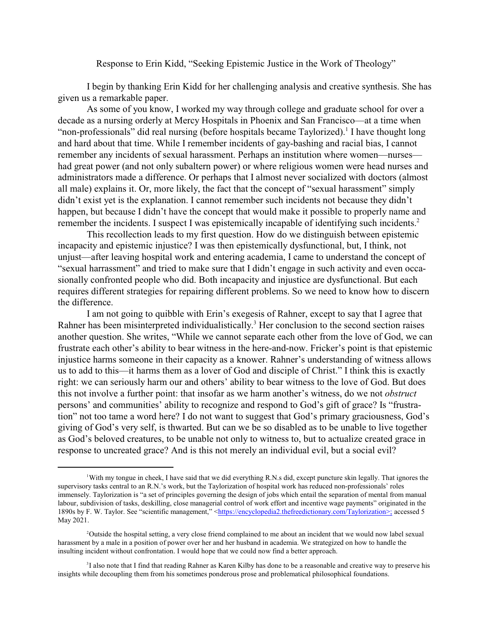## Response to Erin Kidd, "Seeking Epistemic Justice in the Work of Theology"

I begin by thanking Erin Kidd for her challenging analysis and creative synthesis. She has given us a remarkable paper.

As some of you know, I worked my way through college and graduate school for over a decade as a nursing orderly at Mercy Hospitals in Phoenix and San Francisco—at a time when "non-professionals" did real nursing (before hospitals became Taylorized).<sup>1</sup> I have thought long and hard about that time. While I remember incidents of gay-bashing and racial bias, I cannot remember any incidents of sexual harassment. Perhaps an institution where women—nurses had great power (and not only subaltern power) or where religious women were head nurses and administrators made a difference. Or perhaps that I almost never socialized with doctors (almost all male) explains it. Or, more likely, the fact that the concept of "sexual harassment" simply didn't exist yet is the explanation. I cannot remember such incidents not because they didn't happen, but because I didn't have the concept that would make it possible to properly name and remember the incidents. I suspect I was epistemically incapable of identifying such incidents.<sup>2</sup>

This recollection leads to my first question. How do we distinguish between epistemic incapacity and epistemic injustice? I was then epistemically dysfunctional, but, I think, not unjust—after leaving hospital work and entering academia, I came to understand the concept of "sexual harrassment" and tried to make sure that I didn't engage in such activity and even occasionally confronted people who did. Both incapacity and injustice are dysfunctional. But each requires different strategies for repairing different problems. So we need to know how to discern the difference.

I am not going to quibble with Erin's exegesis of Rahner, except to say that I agree that Rahner has been misinterpreted individualistically.<sup>3</sup> Her conclusion to the second section raises another question. She writes, "While we cannot separate each other from the love of God, we can frustrate each other's ability to bear witness in the here-and-now. Fricker's point is that epistemic injustice harms someone in their capacity as a knower. Rahner's understanding of witness allows us to add to this—it harms them as a lover of God and disciple of Christ." I think this is exactly right: we can seriously harm our and others' ability to bear witness to the love of God. But does this not involve a further point: that insofar as we harm another's witness, do we not *obstruct* persons' and communities' ability to recognize and respond to God's gift of grace? Is "frustration" not too tame a word here? I do not want to suggest that God's primary graciousness, God's giving of God's very self, is thwarted. But can we be so disabled as to be unable to live together as God's beloved creatures, to be unable not only to witness to, but to actualize created grace in response to uncreated grace? And is this not merely an individual evil, but a social evil?

With my tongue in cheek, I have said that we did everything R.N.s did, except puncture skin legally. That ignores the supervisory tasks central to an R.N.'s work, but the Taylorization of hospital work has reduced non-professionals' roles immensely. Taylorization is "a set of principles governing the design of jobs which entail the separation of mental from manual labour, subdivision of tasks, deskilling, close managerial control of work effort and incentive wage payments" originated in the 1890s by F. W. Taylor. See "scientific management," <<https://encyclopedia2.thefreedictionary.com/Taylorization>;> accessed 5 May 2021.

<sup>&</sup>lt;sup>2</sup>Outside the hospital setting, a very close friend complained to me about an incident that we would now label sexual harassment by a male in a position of power over her and her husband in academia. We strategized on how to handle the insulting incident without confrontation. I would hope that we could now find a better approach.

<sup>&</sup>lt;sup>3</sup>I also note that I find that reading Rahner as Karen Kilby has done to be a reasonable and creative way to preserve his insights while decoupling them from his sometimes ponderous prose and problematical philosophical foundations.